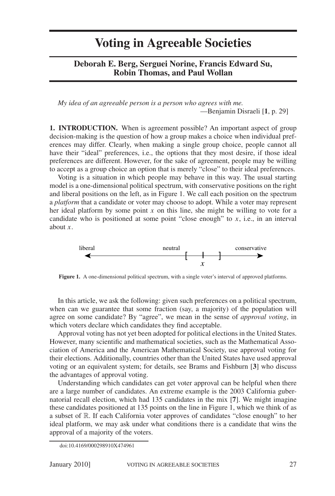## **Voting in Agreeable Societies**

## **Deborah E. Berg, Serguei Norine, Francis Edward Su, Robin Thomas, and Paul Wollan**

*My idea of an agreeable person is a person who agrees with me.* —Benjamin Disraeli [**1**, p. 29]

**1. INTRODUCTION.** When is agreement possible? An important aspect of group decision-making is the question of how a group makes a choice when individual preferences may differ. Clearly, when making a single group choice, people cannot all have their "ideal" preferences, i.e., the options that they most desire, if those ideal preferences are different. However, for the sake of agreement, people may be willing to accept as a group choice an option that is merely "close" to their ideal preferences.

Voting is a situation in which people may behave in this way. The usual starting model is a one-dimensional political spectrum, with conservative positions on the right and liberal positions on the left, as in Figure 1. We call each position on the spectrum a *platform* that a candidate or voter may choose to adopt. While a voter may represent her ideal platform by some point *x* on this line, she might be willing to vote for a candidate who is positioned at some point "close enough" to *x*, i.e., in an interval about *x*.



Figure 1. A one-dimensional political spectrum, with a single voter's interval of approved platforms.

In this article, we ask the following: given such preferences on a political spectrum, when can we guarantee that some fraction (say, a majority) of the population will agree on some candidate? By "agree", we mean in the sense of *approval voting*, in which voters declare which candidates they find acceptable.

Approval voting has not yet been adopted for political elections in the United States. However, many scientific and mathematical societies, such as the Mathematical Association of America and the American Mathematical Society, use approval voting for their elections. Additionally, countries other than the United States have used approval voting or an equivalent system; for details, see Brams and Fishburn [**3**] who discuss the advantages of approval voting.

Understanding which candidates can get voter approval can be helpful when there are a large number of candidates. An extreme example is the 2003 California gubernatorial recall election, which had 135 candidates in the mix [**7**]. We might imagine these candidates positioned at 135 points on the line in Figure 1, which we think of as a subset of R. If each California voter approves of candidates "close enough" to her ideal platform, we may ask under what conditions there is a candidate that wins the approval of a majority of the voters.

doi:10.4169/000298910X474961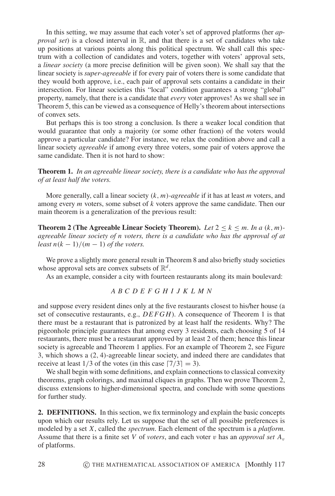In this setting, we may assume that each voter's set of approved platforms (her *approval set*) is a closed interval in R, and that there is a set of candidates who take up positions at various points along this political spectrum. We shall call this spectrum with a collection of candidates and voters, together with voters' approval sets, a *linear society* (a more precise definition will be given soon). We shall say that the linear society is *super-agreeable* if for every pair of voters there is some candidate that they would both approve, i.e., each pair of approval sets contains a candidate in their intersection. For linear societies this "local" condition guarantees a strong "global" property, namely, that there is a candidate that *every* voter approves! As we shall see in Theorem 5, this can be viewed as a consequence of Helly's theorem about intersections of convex sets.

But perhaps this is too strong a conclusion. Is there a weaker local condition that would guarantee that only a majority (or some other fraction) of the voters would approve a particular candidate? For instance, we relax the condition above and call a linear society *agreeable* if among every three voters, some pair of voters approve the same candidate. Then it is not hard to show:

**Theorem 1.** *In an agreeable linear society, there is a candidate who has the approval of at least half the voters.*

More generally, call a linear society (*k*, *m*)*-agreeable* if it has at least *m* voters, and among every *m* voters, some subset of *k* voters approve the same candidate. Then our main theorem is a generalization of the previous result:

**Theorem 2 (The Agreeable Linear Society Theorem).** *Let*  $2 \le k \le m$ . *In a*  $(k, m)$ *agreeable linear society of n voters, there is a candidate who has the approval of at least*  $n(k-1)/(m-1)$  *of the voters.* 

We prove a slightly more general result in Theorem 8 and also briefly study societies whose approval sets are convex subsets of  $\mathbb{R}^d$ .

As an example, consider a city with fourteen restaurants along its main boulevard:

$$
A \ B \ C \ D \ E \ F \ G \ H \ I \ J \ K \ L \ M \ N
$$

and suppose every resident dines only at the five restaurants closest to his/her house (a set of consecutive restaurants, e.g., *DEFGH*). A consequence of Theorem 1 is that there must be a restaurant that is patronized by at least half the residents. Why? The pigeonhole principle guarantees that among every 3 residents, each choosing 5 of 14 restaurants, there must be a restaurant approved by at least 2 of them; hence this linear society is agreeable and Theorem 1 applies. For an example of Theorem 2, see Figure 3, which shows a (2, 4)-agreeable linear society, and indeed there are candidates that receive at least  $1/3$  of the votes (in this case  $\lceil 7/3 \rceil = 3$ ).

We shall begin with some definitions, and explain connections to classical convexity theorems, graph colorings, and maximal cliques in graphs. Then we prove Theorem 2, discuss extensions to higher-dimensional spectra, and conclude with some questions for further study.

**2. DEFINITIONS.** In this section, we fix terminology and explain the basic concepts upon which our results rely. Let us suppose that the set of all possible preferences is modeled by a set *X*, called the *spectrum*. Each element of the spectrum is a *platform*. Assume that there is a finite set *V* of *voters*, and each voter *v* has an *approval set*  $A_v$ of platforms.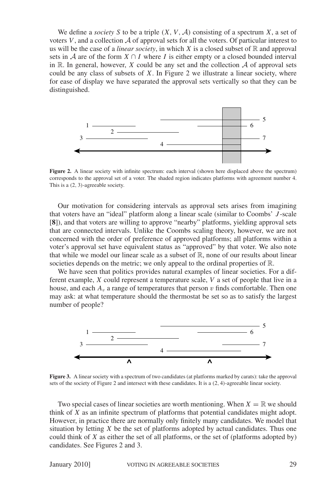We define a *society* S to be a triple  $(X, V, A)$  consisting of a spectrum X, a set of voters  $V$ , and a collection  $\mathcal A$  of approval sets for all the voters. Of particular interest to us will be the case of a *linear society*, in which  $X$  is a closed subset of  $\mathbb R$  and approval sets in A are of the form  $X \cap I$  where I is either empty or a closed bounded interval in R. In general, however, *X* could be any set and the collection  $A$  of approval sets could be any class of subsets of *X*. In Figure 2 we illustrate a linear society, where for ease of display we have separated the approval sets vertically so that they can be distinguished.



**Figure 2.** A linear society with infinite spectrum: each interval (shown here displaced above the spectrum) corresponds to the approval set of a voter. The shaded region indicates platforms with agreement number 4. This is a (2, 3)-agreeable society.

Our motivation for considering intervals as approval sets arises from imagining that voters have an "ideal" platform along a linear scale (similar to Coombs' *J* -scale [**8**]), and that voters are willing to approve "nearby" platforms, yielding approval sets that are connected intervals. Unlike the Coombs scaling theory, however, we are not concerned with the order of preference of approved platforms; all platforms within a voter's approval set have equivalent status as "approved" by that voter. We also note that while we model our linear scale as a subset of  $\mathbb{R}$ , none of our results about linear societies depends on the metric; we only appeal to the ordinal properties of  $\mathbb{R}$ .

We have seen that politics provides natural examples of linear societies. For a different example, *X* could represent a temperature scale, *V* a set of people that live in a house, and each  $A_v$  a range of temperatures that person v finds comfortable. Then one may ask: at what temperature should the thermostat be set so as to satisfy the largest number of people?



**Figure 3.** A linear society with a spectrum of two candidates (at platforms marked by carats): take the approval sets of the society of Figure 2 and intersect with these candidates. It is a (2, 4)-agreeable linear society.

Two special cases of linear societies are worth mentioning. When  $X = \mathbb{R}$  we should think of *X* as an infinite spectrum of platforms that potential candidates might adopt. However, in practice there are normally only finitely many candidates. We model that situation by letting *X* be the set of platforms adopted by actual candidates. Thus one could think of *X* as either the set of all platforms, or the set of (platforms adopted by) candidates. See Figures 2 and 3.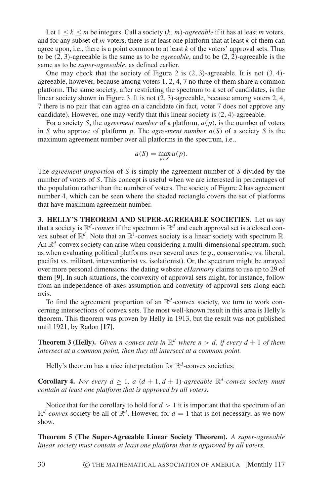Let  $1 \leq k \leq m$  be integers. Call a society  $(k, m)$ -*agreeable* if it has at least *m* voters, and for any subset of *m* voters, there is at least one platform that at least *k* of them can agree upon, i.e., there is a point common to at least *k* of the voters' approval sets. Thus to be (2, 3)-agreeable is the same as to be *agreeable*, and to be (2, 2)-agreeable is the same as to be *super-agreeable*, as defined earlier.

One may check that the society of Figure 2 is  $(2, 3)$ -agreeable. It is not  $(3, 4)$ agreeable, however, because among voters 1, 2, 4, 7 no three of them share a common platform. The same society, after restricting the spectrum to a set of candidates, is the linear society shown in Figure 3. It is not (2, 3)-agreeable, because among voters 2, 4, 7 there is no pair that can agree on a candidate (in fact, voter 7 does not approve any candidate). However, one may verify that this linear society is (2, 4)-agreeable.

For a society *S*, the *agreement number* of a platform, *a*(*p*), is the number of voters in *S* who approve of platform *p*. The *agreement number a*(*S*) of a society *S* is the maximum agreement number over all platforms in the spectrum, i.e.,

$$
a(S) = \max_{p \in X} a(p).
$$

The *agreement proportion* of *S* is simply the agreement number of *S* divided by the number of voters of *S*. This concept is useful when we are interested in percentages of the population rather than the number of voters. The society of Figure 2 has agreement number 4, which can be seen where the shaded rectangle covers the set of platforms that have maximum agreement number.

**3. HELLY'S THEOREM AND SUPER-AGREEABLE SOCIETIES.** Let us say that a society is  $\mathbb{R}^d$ -*convex* if the spectrum is  $\mathbb{R}^d$  and each approval set is a closed convex subset of  $\mathbb{R}^d$ . Note that an  $\mathbb{R}^1$ -convex society is a linear society with spectrum  $\mathbb{R}$ . An  $\mathbb{R}^d$ -convex society can arise when considering a multi-dimensional spectrum, such as when evaluating political platforms over several axes (e.g., conservative vs. liberal, pacifist vs. militant, interventionist vs. isolationist). Or, the spectrum might be arrayed over more personal dimensions: the dating website *eHarmony* claims to use up to 29 of them [**9**]. In such situations, the convexity of approval sets might, for instance, follow from an independence-of-axes assumption and convexity of approval sets along each axis.

To find the agreement proportion of an  $\mathbb{R}^d$ -convex society, we turn to work concerning intersections of convex sets. The most well-known result in this area is Helly's theorem. This theorem was proven by Helly in 1913, but the result was not published until 1921, by Radon [**17**].

**Theorem 3 (Helly).** *Given n convex sets in*  $\mathbb{R}^d$  *where n > d, if every d + 1 of them intersect at a common point, then they all intersect at a common point.*

Helly's theorem has a nice interpretation for  $\mathbb{R}^d$ -convex societies:

**Corollary 4.** For every  $d > 1$ , a  $(d + 1, d + 1)$ -agreeable  $\mathbb{R}^d$ -convex society must *contain at least one platform that is approved by all voters.*

Notice that for the corollary to hold for  $d > 1$  it is important that the spectrum of an  $\mathbb{R}^d$ -*convex* society be all of  $\mathbb{R}^d$ . However, for  $d = 1$  that is not necessary, as we now show.

**Theorem 5 (The Super-Agreeable Linear Society Theorem).** *A super-agreeable linear society must contain at least one platform that is approved by all voters.*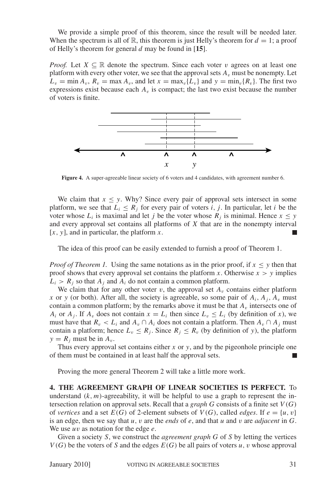We provide a simple proof of this theorem, since the result will be needed later. When the spectrum is all of  $\mathbb R$ , this theorem is just Helly's theorem for  $d = 1$ ; a proof of Helly's theorem for general *d* may be found in [**15**].

*Proof.* Let  $X \subseteq \mathbb{R}$  denote the spectrum. Since each voter v agrees on at least one platform with every other voter, we see that the approval sets  $A_v$  must be nonempty. Let  $L_v = \min A_v$ ,  $R_v = \max A_v$ , and let  $x = \max_v \{L_v\}$  and  $y = \min_v \{R_v\}$ . The first two expressions exist because each  $A<sub>v</sub>$  is compact; the last two exist because the number of voters is finite.



**Figure 4.** A super-agreeable linear society of 6 voters and 4 candidates, with agreement number 6.

We claim that  $x \leq y$ . Why? Since every pair of approval sets intersect in some platform, we see that  $L_i \leq R_i$  for every pair of voters *i*, *j*. In particular, let *i* be the voter whose  $L_i$  is maximal and let *j* be the voter whose  $R_i$  is minimal. Hence  $x \leq y$ and every approval set contains all platforms of *X* that are in the nonempty interval [*x*, *y*], and in particular, the platform *x*.

The idea of this proof can be easily extended to furnish a proof of Theorem 1.

*Proof of Theorem 1.* Using the same notations as in the prior proof, if  $x \leq y$  then that proof shows that every approval set contains the platform *x*. Otherwise  $x > y$  implies  $L_i > R_j$  so that  $A_j$  and  $A_i$  do not contain a common platform.

We claim that for any other voter  $v$ , the approval set  $A_v$  contains either platform *x* or *y* (or both). After all, the society is agreeable, so some pair of  $A_i$ ,  $A_j$ ,  $A_v$  must contain a common platform; by the remarks above it must be that  $A_v$  intersects one of *A<sub>i</sub>* or *A<sub>j</sub>*. If *A<sub>v</sub>* does not contain  $x = L_i$  then since  $L_v \leq L_i$  (by definition of *x*), we must have that  $R_v < L_i$  and  $A_v \cap A_i$  does not contain a platform. Then  $A_v \cap A_j$  must contain a platform; hence  $L_v \leq R_i$ . Since  $R_i \leq R_v$  (by definition of *y*), the platform  $y = R_i$  must be in  $A_v$ .

Thus every approval set contains either *x* or *y*, and by the pigeonhole principle one of them must be contained in at least half the approval sets. П

Proving the more general Theorem 2 will take a little more work.

**4. THE AGREEMENT GRAPH OF LINEAR SOCIETIES IS PERFECT.** To understand  $(k, m)$ -agreeability, it will be helpful to use a graph to represent the intersection relation on approval sets. Recall that a *graph G* consists of a finite set *V* (*G*) of *vertices* and a set  $E(G)$  of 2-element subsets of  $V(G)$ , called *edges*. If  $e = \{u, v\}$ is an edge, then we say that *u*, v are the *ends* of *e*, and that *u* and v are *adjacent* in *G*. We use *u*v as notation for the edge *e*.

Given a society *S*, we construct the *agreement graph G* of *S* by letting the vertices  $V(G)$  be the voters of *S* and the edges  $E(G)$  be all pairs of voters *u*, *v* whose approval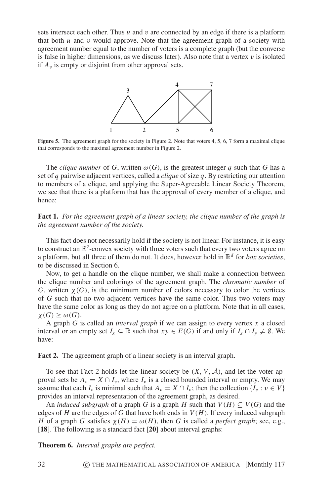sets intersect each other. Thus  $u$  and  $v$  are connected by an edge if there is a platform that both  $u$  and  $v$  would approve. Note that the agreement graph of a society with agreement number equal to the number of voters is a complete graph (but the converse is false in higher dimensions, as we discuss later). Also note that a vertex  $v$  is isolated if  $A_v$  is empty or disjoint from other approval sets.



**Figure 5.** The agreement graph for the society in Figure 2. Note that voters 4, 5, 6, 7 form a maximal clique that corresponds to the maximal agreement number in Figure 2.

The *clique number* of *G*, written  $\omega(G)$ , is the greatest integer *q* such that *G* has a set of *q* pairwise adjacent vertices, called a *clique* of size *q*. By restricting our attention to members of a clique, and applying the Super-Agreeable Linear Society Theorem, we see that there is a platform that has the approval of every member of a clique, and hence:

**Fact 1.** *For the agreement graph of a linear society, the clique number of the graph is the agreement number of the society.*

This fact does not necessarily hold if the society is not linear. For instance, it is easy to construct an  $\mathbb{R}^2$ -convex society with three voters such that every two voters agree on a platform, but all three of them do not. It does, however hold in  $\mathbb{R}^d$  for *box societies*, to be discussed in Section 6.

Now, to get a handle on the clique number, we shall make a connection between the clique number and colorings of the agreement graph. The *chromatic number* of *G*, written  $\chi(G)$ , is the minimum number of colors necessary to color the vertices of *G* such that no two adjacent vertices have the same color. Thus two voters may have the same color as long as they do not agree on a platform. Note that in all cases,  $\chi(G) \geq \omega(G)$ .

A graph *G* is called an *interval graph* if we can assign to every vertex *x* a closed interval or an empty set  $I_x \subseteq \mathbb{R}$  such that  $xy \in E(G)$  if and only if  $I_x \cap I_y \neq \emptyset$ . We have:

**Fact 2.** The agreement graph of a linear society is an interval graph.

To see that Fact 2 holds let the linear society be  $(X, V, A)$ , and let the voter approval sets be  $A_v = X \cap I_v$ , where  $I_v$  is a closed bounded interval or empty. We may assume that each  $I_v$  is minimal such that  $A_v = X \cap I_v$ ; then the collection  $\{I_v : v \in V\}$ provides an interval representation of the agreement graph, as desired.

An *induced subgraph* of a graph *G* is a graph *H* such that  $V(H) \subseteq V(G)$  and the edges of  $H$  are the edges of  $G$  that have both ends in  $V(H)$ . If every induced subgraph *H* of a graph *G* satisfies  $\chi(H) = \omega(H)$ , then *G* is called a *perfect graph*; see, e.g., [**18**]. The following is a standard fact [**20**] about interval graphs:

**Theorem 6.** *Interval graphs are perfect.*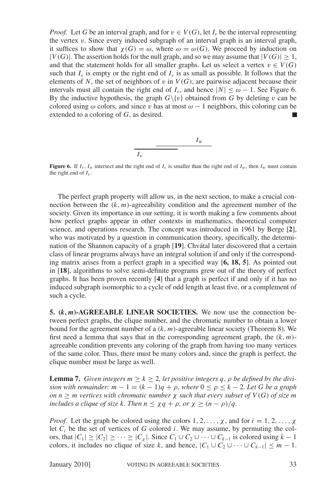*Proof.* Let *G* be an interval graph, and for  $v \in V(G)$ , let  $I_v$  be the interval representing the vertex v. Since every induced subgraph of an interval graph is an interval graph, it suffices to show that  $\chi(G) = \omega$ , where  $\omega = \omega(G)$ . We proceed by induction on  $|V(G)|$ . The assertion holds for the null graph, and so we may assume that  $|V(G)| \geq 1$ , and that the statement holds for all smaller graphs. Let us select a vertex  $v \in V(G)$ such that  $I_v$  is empty or the right end of  $I_v$  is as small as possible. It follows that the elements of *N*, the set of neighbors of v in  $V(G)$ , are pairwise adjacent because their intervals must all contain the right end of  $I_v$ , and hence  $|N| \leq \omega - 1$ . See Figure 6. By the inductive hypothesis, the graph  $G\backslash\{v\}$  obtained from *G* by deleting *v* can be colored using  $\omega$  colors, and since v has at most  $\omega - 1$  neighbors, this coloring can be extended to a coloring of *G*, as desired.



**Figure 6.** If  $I_v$ ,  $I_w$  intersect and the right end of  $I_v$  is smaller than the right end of  $I_w$ , then  $I_w$  must contain the right end of  $I_v$ .

The perfect graph property will allow us, in the next section, to make a crucial connection between the  $(k, m)$ -agreeability condition and the agreement number of the society. Given its importance in our setting, it is worth making a few comments about how perfect graphs appear in other contexts in mathematics, theoretical computer science, and operations research. The concept was introduced in 1961 by Berge [**2**], who was motivated by a question in communication theory, specifically, the determination of the Shannon capacity of a graph [19]. Chvatal later discovered that a certain class of linear programs always have an integral solution if and only if the corresponding matrix arises from a perfect graph in a specified way [**6, 18, 5**]. As pointed out in [**18**], algorithms to solve semi-definite programs grew out of the theory of perfect graphs. It has been proven recently [**4**] that a graph is perfect if and only if it has no induced subgraph isomorphic to a cycle of odd length at least five, or a complement of such a cycle.

**5. (***k, m***)-AGREEABLE LINEAR SOCIETIES.** We now use the connection between perfect graphs, the clique number, and the chromatic number to obtain a lower bound for the agreement number of a (*k*, *m*)-agreeable linear society (Theorem 8). We first need a lemma that says that in the corresponding agreement graph, the  $(k, m)$ agreeable condition prevents any coloring of the graph from having too many vertices of the same color. Thus, there must be many colors and, since the graph is perfect, the clique number must be large as well.

**Lemma 7.** *Given integers*  $m \geq k \geq 2$ , let positive integers q,  $\rho$  be defined by the divi*sion with remainder:*  $m - 1 = (k - 1)q + \rho$ , where  $0 \le \rho \le k - 2$ . Let G be a graph *on*  $n \geq m$  vertices with chromatic number  $\chi$  such that every subset of  $V(G)$  of size m *includes a clique of size k. Then*  $n \leq \chi q + \rho$ *, or*  $\chi \geq (n - \rho)/q$ .

*Proof.* Let the graph be colored using the colors  $1, 2, \ldots, \chi$ , and for  $i = 1, 2, \ldots, \chi$ let *Ci* be the set of vertices of *G* colored *i*. We may assume, by permuting the colors, that  $|C_1| \ge |C_2| \ge \cdots \ge |C_\chi|$ . Since  $C_1 \cup C_2 \cup \cdots \cup C_{k-1}$  is colored using  $k-1$ colors, it includes no clique of size k, and hence,  $|C_1 \cup C_2 \cup \cdots \cup C_{k-1}| \leq m-1$ .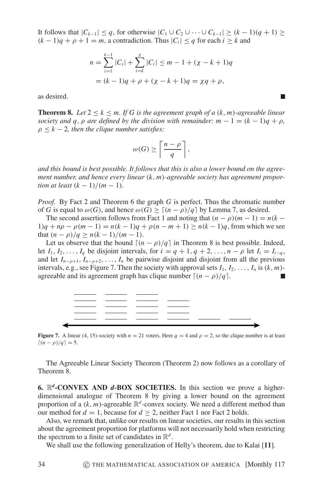It follows that  $|C_{k-1}| \leq q$ , for otherwise  $|C_1 \cup C_2 \cup \cdots \cup C_{k-1}| \geq (k-1)(q+1) \geq$  $(k-1)q + \rho + 1 = m$ , a contradiction. Thus  $|C_i| \leq q$  for each  $i \geq k$  and

$$
n = \sum_{i=1}^{k-1} |C_i| + \sum_{i=k}^{x} |C_i| \le m - 1 + (\chi - k + 1)q
$$
  
=  $(k - 1)q + \rho + (\chi - k + 1)q = \chi q + \rho$ ,

as desired.

**Theorem 8.** *Let*  $2 \leq k \leq m$ . *If G is the agreement graph of a*  $(k, m)$ *-agreeable linear society and q,*  $\rho$  *are defined by the division with remainder:*  $m - 1 = (k - 1)q + \rho$ ,  $\rho \leq k - 2$ , then the clique number satisfies:

П

$$
\omega(G) \ge \left\lceil \frac{n-\rho}{q} \right\rceil,
$$

*and this bound is best possible. It follows that this is also a lower bound on the agreement number, and hence every linear* (*k*, *m*)*-agreeable society has agreement proportion at least*  $(k - 1)/(m - 1)$ *.* 

*Proof.* By Fact 2 and Theorem 6 the graph *G* is perfect. Thus the chromatic number of *G* is equal to  $\omega(G)$ , and hence  $\omega(G) \ge \lceil (n - \rho)/q \rceil$  by Lemma 7, as desired.

The second assertion follows from Fact 1 and noting that  $(n - \rho)(m - 1) = n(k - \rho)(m - 1)$ 1)*q* + *n* $\rho$  −  $\rho$ (*m* − 1) = *n*(*k* − 1)*q* +  $\rho$ (*n* − *m* + 1) ≥ *n*(*k* − 1)*q*, from which we see that  $(n - \rho)/q \geq n(k - 1)/(m - 1)$ .

Let us observe that the bound  $\lceil (n - \rho)/q \rceil$  in Theorem 8 is best possible. Indeed, let  $I_1, I_2, \ldots, I_q$  be disjoint intervals, for  $i = q + 1, q + 2, \ldots, n - \rho$  let  $I_i = I_{i-q}$ , and let  $I_{n-\rho+1}, I_{n-\rho+2}, \ldots, I_n$  be pairwise disjoint and disjoint from all the previous intervals, e.g., see Figure 7. Then the society with approval sets  $I_1, I_2, \ldots, I_n$  is  $(k, m)$ agreeable and its agreement graph has clique number  $[(n - \rho)/q]$ .



**Figure 7.** A linear (4, 15)-society with  $n = 21$  voters. Here  $q = 4$  and  $\rho = 2$ , so the clique number is at least  $\lceil (n - \rho)/q \rceil = 5.$ 

The Agreeable Linear Society Theorem (Theorem 2) now follows as a corollary of Theorem 8.

**6.** R*<sup>d</sup>***-CONVEX AND** *d***-BOX SOCIETIES.** In this section we prove a higherdimensional analogue of Theorem 8 by giving a lower bound on the agreement proportion of a  $(k, m)$ -agreeable  $\mathbb{R}^d$ -convex society. We need a different method than our method for  $d = 1$ , because for  $d \geq 2$ , neither Fact 1 nor Fact 2 holds.

Also, we remark that, unlike our results on linear societies, our results in this section about the agreement proportion for platforms will not necessarily hold when restricting the spectrum to a finite set of candidates in  $\mathbb{R}^d$ .

We shall use the following generalization of Helly's theorem, due to Kalai [**11**].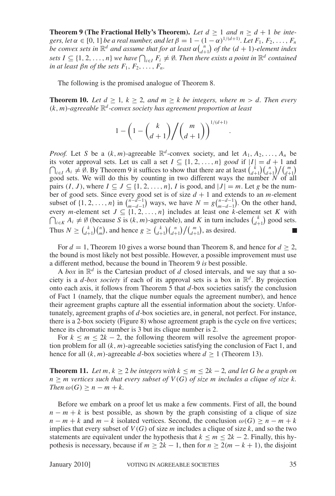**Theorem 9 (The Fractional Helly's Theorem).** Let  $d \geq 1$  and  $n \geq d + 1$  be inte*gers, let*  $\alpha \in [0, 1]$  *be a real number, and let*  $\beta = 1 - (1 - \alpha)^{1/(d+1)}$ *. Let*  $F_1, F_2, ..., F_n$ *be convex sets in*  $\mathbb{R}^d$  *and assume that for at least*  $\alpha {n \choose d+1}$  *of the*  $(d+1)$ *-element index sets*  $I \subseteq \{1, 2, ..., n\}$  *we have*  $\bigcap_{i \in I} F_i \neq \emptyset$ *. Then there exists a point in*  $\mathbb{R}^d$  *contained in at least*  $\beta n$  *of the sets*  $F_1, F_2, \ldots, F_n$ .

The following is the promised analogue of Theorem 8.

**Theorem 10.** Let  $d \geq 1$ ,  $k \geq 2$ , and  $m \geq k$  be integers, where  $m > d$ . Then every  $(k, m)$ -agreeable  $\mathbb{R}^d$ -convex society has agreement proportion at least

$$
1 - \left(1 - {k \choose d+1} \middle/ {m \choose d+1} \right)^{1/(d+1)}.
$$

*Proof.* Let *S* be a  $(k, m)$ -agreeable  $\mathbb{R}^d$ -convex society, and let  $A_1, A_2, \ldots, A_n$  be its voter approval sets. Let us call a set ∩  $I \subseteq \{1, 2, ..., n\}$  *good* if  $|I| = d + 1$  and  $i \in I$  *A<sub>i</sub>*  $\neq \emptyset$ . By Theorem 9 it suffices to show that there are at least  $\binom{k}{d+1}\binom{n}{d+1}\binom{m}{d+1}$ good sets. We will do this by counting in two different ways the number *N* of all pairs  $(I, J)$ , where  $I \subseteq J \subseteq \{1, 2, ..., n\}$ , *I* is good, and  $|J| = m$ . Let *g* be the number of good sets. Since every good set is of size  $d + 1$  and extends to an *m*-element subset of  $\{1, 2, \ldots, n\}$  in  $\binom{n-d-1}{m-d-1}$  ways, we have  $N = g\binom{n-d-1}{m-d-1}$ . On the other hand, every *m*-element set  $J \subseteq \{1, 2, ..., n\}$  includes at least one *k*-element set *K* with  $\bigcap_{i \in K} A_i \neq \emptyset$  (because *S* is  $(k, m)$ -agreeable), and *K* in turn includes  $\binom{k}{d+1}$  good sets. Thus  $N \geq {k \choose d+1} {n \choose m}$ , and hence  $g \geq {k \choose d+1} {n \choose d+1} / {m \choose d+1}$ , as desired.

For  $d = 1$ , Theorem 10 gives a worse bound than Theorem 8, and hence for  $d \ge 2$ , the bound is most likely not best possible. However, a possible improvement must use a different method, because the bound in Theorem 9 *is* best possible.

A *box* in  $\mathbb{R}^d$  is the Cartesian product of *d* closed intervals, and we say that a society is a *d*-*box society* if each of its approval sets is a box in  $\mathbb{R}^d$ . By projection onto each axis, it follows from Theorem 5 that *d*-box societies satisfy the conclusion of Fact 1 (namely, that the clique number equals the agreement number), and hence their agreement graphs capture all the essential information about the society. Unfortunately, agreement graphs of *d*-box societies are, in general, not perfect. For instance, there is a 2-box society (Figure 8) whose agreement graph is the cycle on five vertices; hence its chromatic number is 3 but its clique number is 2.

For  $k \le m \le 2k - 2$ , the following theorem will resolve the agreement proportion problem for all  $(k, m)$ -agreeable societies satisfying the conclusion of Fact 1, and hence for all  $(k, m)$ -agreeable *d*-box societies where  $d \ge 1$  (Theorem 13).

**Theorem 11.** *Let*  $m, k \geq 2$  *be integers with*  $k \leq m \leq 2k - 2$ , and let G be a graph on  $n \ge m$  vertices such that every subset of  $V(G)$  of size m includes a clique of size k. *Then*  $\omega(G) \geq n - m + k$ .

Before we embark on a proof let us make a few comments. First of all, the bound  $n - m + k$  is best possible, as shown by the graph consisting of a clique of size  $n - m + k$  and  $m - k$  isolated vertices. Second, the conclusion  $\omega(G) \geq n - m + k$ implies that every subset of  $V(G)$  of size *m* includes a clique of size  $k$ , and so the two statements are equivalent under the hypothesis that  $k \le m \le 2k - 2$ . Finally, this hypothesis is necessary, because if  $m \ge 2k - 1$ , then for  $n \ge 2(m - k + 1)$ , the disjoint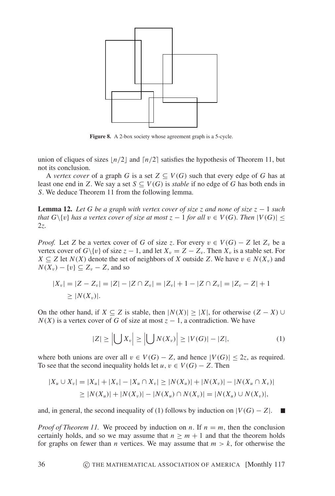

**Figure 8.** A 2-box society whose agreement graph is a 5-cycle.

union of cliques of sizes  $\lfloor n/2 \rfloor$  and  $\lfloor n/2 \rfloor$  satisfies the hypothesis of Theorem 11, but not its conclusion.

A *vertex cover* of a graph *G* is a set  $Z \subseteq V(G)$  such that every edge of *G* has at least one end in *Z*. We say a set  $S \subseteq V(G)$  is *stable* if no edge of *G* has both ends in *S*. We deduce Theorem 11 from the following lemma.

**Lemma 12.** *Let G be a graph with vertex cover of size z and none of size z – 1 such that*  $G\{v\}$  *has a vertex cover of size at most*  $z - 1$  *for all*  $v \in V(G)$ *. Then*  $|V(G)| \le$ 2*z.*

*Proof.* Let *Z* be a vertex cover of *G* of size *z*. For every  $v \in V(G) - Z$  let  $Z_v$  be a vertex cover of  $G \setminus \{v\}$  of size  $z - 1$ , and let  $X_v = Z - Z_v$ . Then  $X_v$  is a stable set. For *X* ⊆ *Z* let *N*(*X*) denote the set of neighbors of *X* outside *Z*. We have  $v \text{ } \in N(X_v)$  and  $N(X_v) - \{v\} \subseteq Z_v - Z$ , and so

$$
|X_v| = |Z - Z_v| = |Z| - |Z \cap Z_v| = |Z_v| + 1 - |Z \cap Z_v| = |Z_v - Z| + 1
$$
  
\n
$$
\geq |N(X_v)|.
$$

On the other hand, if  $X \subseteq Z$  is stable, then  $|N(X)| \geq |X|$ , for otherwise  $(Z - X) \cup$  $N(X)$  is a vertex cover of *G* of size at most  $z - 1$ , a contradiction. We have

$$
|Z| \ge \left| \bigcup X_v \right| \ge \left| \bigcup N(X_v) \right| \ge |V(G)| - |Z|,\tag{1}
$$

where both unions are over all  $v \in V(G) - Z$ , and hence  $|V(G)| \leq 2z$ , as required. To see that the second inequality holds let  $u, v \in V(G) - Z$ . Then

$$
|X_u \cup X_v| = |X_u| + |X_v| - |X_u \cap X_v| \ge |N(X_u)| + |N(X_v)| - |N(X_u \cap X_v)|
$$
  
\n
$$
\ge |N(X_u)| + |N(X_v)| - |N(X_u) \cap N(X_v)| = |N(X_u) \cup N(X_v)|,
$$

and, in general, the second inequality of (1) follows by induction on  $|V(G) - Z|$ . T.

*Proof of Theorem 11.* We proceed by induction on *n*. If  $n = m$ , then the conclusion certainly holds, and so we may assume that  $n \ge m + 1$  and that the theorem holds for graphs on fewer than *n* vertices. We may assume that  $m > k$ , for otherwise the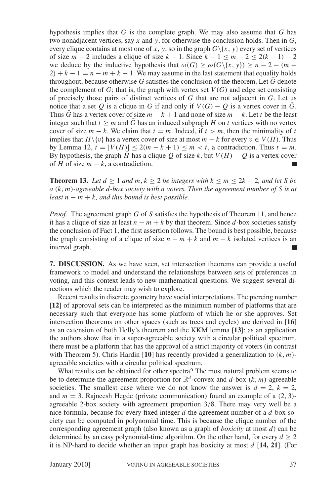hypothesis implies that *G* is the complete graph. We may also assume that *G* has two nonadjacent vertices, say *x* and *y*, for otherwise the conclusion holds. Then in *G*, every clique contains at most one of *x*, *y*, so in the graph  $G\{x, y\}$  every set of vertices of size  $m - 2$  includes a clique of size  $k - 1$ . Since  $k - 1 \le m - 2 \le 2(k - 1) - 2$ we deduce by the inductive hypothesis that  $\omega(G) \geq \omega(G\{x, y\}) \geq n - 2 - (m - 1)$  $2) + k - 1 = n - m + k - 1$ . We may assume in the last statement that equality holds throughout, because otherwise  $G$  satisfies the conclusion of the theorem. Let  $G$  denote the complement of  $G$ ; that is, the graph with vertex set  $V(G)$  and edge set consisting of precisely those pairs of distinct vertices of *G* that are not adjacent in *G*. Let us notice that a set *Q* is a clique in *G* if and only if  $V(G) - Q$  is a vertex cover in *G*. Thus *G* has a vertex cover of size  $m - k + 1$  and none of size  $m - k$ . Let *t* be the least integer such that  $t \geq m$  and  $\overline{G}$  has an induced subgraph *H* on *t* vertices with no vertex cover of size  $m - k$ . We claim that  $t = m$ . Indeed, if  $t > m$ , then the minimality of  $t$ implies that *H* $\setminus \{v\}$  has a vertex cover of size at most *m* − *k* for every  $v \in V(H)$ . Thus by Lemma 12, *t* =  $|V(H)|$  ≤ 2(*m* − *k* + 1) ≤ *m* < *t*, a contradiction. Thus *t* = *m*. By hypothesis, the graph *H* has a clique *Q* of size *k*, but  $V(H) - Q$  is a vertex cover of *H* of size  $m - k$ , a contradiction.

**Theorem 13.** Let  $d \geq 1$  and  $m, k \geq 2$  be integers with  $k \leq m \leq 2k - 2$ , and let S be *a* (*k*, *m*)*-agreeable d-box society with n voters. Then the agreement number of S is at least*  $n - m + k$ , *and this bound is best possible.* 

*Proof.* The agreement graph *G* of *S* satisfies the hypothesis of Theorem 11, and hence it has a clique of size at least  $n - m + k$  by that theorem. Since *d*-box societies satisfy the conclusion of Fact 1, the first assertion follows. The bound is best possible, because the graph consisting of a clique of size  $n - m + k$  and  $m - k$  isolated vertices is an interval graph.

**7. DISCUSSION.** As we have seen, set intersection theorems can provide a useful framework to model and understand the relationships between sets of preferences in voting, and this context leads to new mathematical questions. We suggest several directions which the reader may wish to explore.

Recent results in discrete geometry have social interpretations. The piercing number [**12**] of approval sets can be interpreted as the minimum number of platforms that are necessary such that everyone has some platform of which he or she approves. Set intersection theorems on other spaces (such as trees and cycles) are derived in [**16**] as an extension of both Helly's theorem and the KKM lemma [**13**]; as an application the authors show that in a super-agreeable society with a circular political spectrum, there must be a platform that has the approval of a strict majority of voters (in contrast with Theorem 5). Chris Hardin [10] has recently provided a generalization to  $(k, m)$ agreeable societies with a circular political spectrum.

What results can be obtained for other spectra? The most natural problem seems to be to determine the agreement proportion for  $\mathbb{R}^d$ -convex and  $d$ -box  $(k, m)$ -agreeable societies. The smallest case where we do not know the answer is  $d = 2$ ,  $k = 2$ , and  $m = 3$ . Rajneesh Hegde (private communication) found an example of a  $(2, 3)$ agreeable 2-box society with agreement proportion 3/8. There may very well be a nice formula, because for every fixed integer *d* the agreement number of a *d*-box society can be computed in polynomial time. This is because the clique number of the corresponding agreement graph (also known as a graph of *boxicity* at most *d*) can be determined by an easy polynomial-time algorithm. On the other hand, for every  $d \geq 2$ it is NP-hard to decide whether an input graph has boxicity at most *d* [**14, 21**]. (For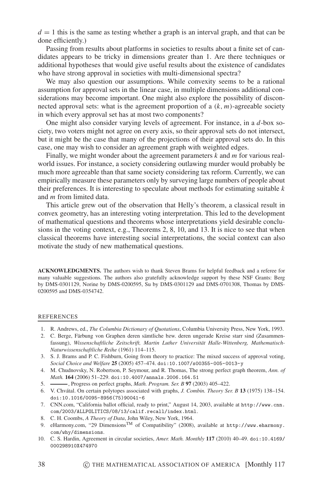$d = 1$  this is the same as testing whether a graph is an interval graph, and that can be done efficiently.)

Passing from results about platforms in societies to results about a finite set of candidates appears to be tricky in dimensions greater than 1. Are there techniques or additional hypotheses that would give useful results about the existence of candidates who have strong approval in societies with multi-dimensional spectra?

We may also question our assumptions. While convexity seems to be a rational assumption for approval sets in the linear case, in multiple dimensions additional considerations may become important. One might also explore the possibility of disconnected approval sets: what is the agreement proportion of a  $(k, m)$ -agreeable society in which every approval set has at most two components?

One might also consider varying levels of agreement. For instance, in a *d*-box society, two voters might not agree on every axis, so their approval sets do not intersect, but it might be the case that many of the projections of their approval sets do. In this case, one may wish to consider an agreement graph with weighted edges.

Finally, we might wonder about the agreement parameters *k* and *m* for various realworld issues. For instance, a society considering outlawing murder would probably be much more agreeable than that same society considering tax reform. Currently, we can empirically measure these parameters only by surveying large numbers of people about their preferences. It is interesting to speculate about methods for estimating suitable *k* and *m* from limited data.

This article grew out of the observation that Helly's theorem, a classical result in convex geometry, has an interesting voting interpretation. This led to the development of mathematical questions and theorems whose interpretations yield desirable conclusions in the voting context, e.g., Theorems 2, 8, 10, and 13. It is nice to see that when classical theorems have interesting social interpretations, the social context can also motivate the study of new mathematical questions.

**ACKNOWLEDGMENTS.** The authors wish to thank Steven Brams for helpful feedback and a referee for many valuable suggestions. The authors also gratefully acknowledge support by these NSF Grants: Berg by DMS-0301129, Norine by DMS-0200595, Su by DMS-0301129 and DMS-0701308, Thomas by DMS-0200595 and DMS-0354742.

## REFERENCES

- 1. R. Andrews, ed., *The Columbia Dictionary of Quotations*, Columbia University Press, New York, 1993.
- 2. C. Berge, Färbung von Graphen deren sämtliche bzw. deren ungerade Kreise starr sind (Zusammenfassung), *Wissenschaftliche Zeitschrift, Martin Luther Universitat Halle-Wittenberg, Mathematisch- ¨ Naturwissenschaftliche Reihe* (1961) 114–115.
- 3. S. J. Brams and P. C. Fishburn, Going from theory to practice: The mixed success of approval voting, *Social Choice and Welfare* **25** (2005) 457–474. doi:10.1007/s00355-005-0013-y
- 4. M. Chudnovsky, N. Robertson, P. Seymour, and R. Thomas, The strong perfect graph theorem, *Ann. of Math.* **164** (2006) 51–229. doi:10.4007/annals.2006.164.51
- 5. <del>. . . . . . .</del> Progress on perfect graphs, *Math. Program. Ser. B* 97 (2003) 405-422.
- 6. V. Chvátal. On certain polytopes associated with graphs, *J. Combin. Theory Ser. B* 13 (1975) 138-154. doi:10.1016/0095-8956(75)90041-6
- 7. CNN.com, "California ballot official, ready to print," August 14, 2003, available at http://www.cnn. com/2003/ALLPOLITICS/08/13/calif.recall/index.html.
- 8. C. H. Coombs, *A Theory of Data*, John Wiley, New York, 1964.
- 9. eHarmony.com, "29 Dimensions<sup>TM</sup> of Compatibility" (2008), available at http://www.eharmony. com/why/dimensions.
- 10. C. S. Hardin, Agreement in circular societies, *Amer. Math. Monthly* **117** (2010) 40–49. doi:10.4169/ 000298910X474970